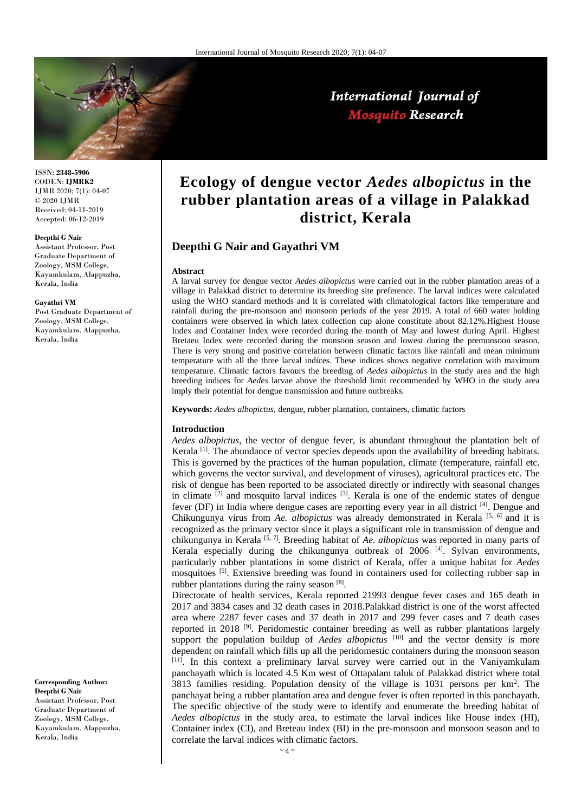

International Journal of **Mosquito Research** 

ISSN: **2348-5906** CODEN: **IJMRK2** IJMR 2020; 7(1): 04-07 © 2020 IJMR Received: 04-11-2019 Accepted: 06-12-2019

#### **Deepthi G Nair**

Assistant Professor, Post Graduate Department of Zoology, MSM College, Kayamkulam, Alappuzha, Kerala, India

#### **Gayathri VM**

Post Graduate Department of Zoology, MSM College, Kayamkulam, Alappuzha, Kerala, India

**Corresponding Author: Deepthi G Nair**  Assistant Professor, Post Graduate Department of Zoology, MSM College, Kayamkulam, Alappuzha, Kerala, India

# **Ecology of dengue vector** *Aedes albopictus* **in the rubber plantation areas of a village in Palakkad district, Kerala**

# **Deepthi G Nair and Gayathri VM**

#### **Abstract**

A larval survey for dengue vector *Aedes albopictus* were carried out in the rubber plantation areas of a village in Palakkad district to determine its breeding site preference. The larval indices were calculated using the WHO standard methods and it is correlated with climatological factors like temperature and rainfall during the pre-monsoon and monsoon periods of the year 2019. A total of 660 water holding containers were observed in which latex collection cup alone constitute about 82.12%.Highest House Index and Container Index were recorded during the month of May and lowest during April. Highest Bretaeu Index were recorded during the monsoon season and lowest during the premonsoon season. There is very strong and positive correlation between climatic factors like rainfall and mean minimum temperature with all the three larval indices. These indices shows negative correlation with maximum temperature. Climatic factors favours the breeding of *Aedes albopictus* in the study area and the high breeding indices for *Aedes* larvae above the threshold limit recommended by WHO in the study area imply their potential for dengue transmission and future outbreaks.

**Keywords:** *Aedes albopictus,* dengue, rubber plantation, containers, climatic factors

#### **Introduction**

*Aedes albopictus*, the vector of dengue fever, is abundant throughout the plantation belt of Kerala  $^{[1]}$ . The abundance of vector species depends upon the availability of breeding habitats. This is governed by the practices of the human population, climate (temperature, rainfall etc. which governs the vector survival, and development of viruses), agricultural practices etc. The risk of dengue has been reported to be associated directly or indirectly with seasonal changes in climate  $[2]$  and mosquito larval indices  $[3]$ . Kerala is one of the endemic states of dengue fever (DF) in India where dengue cases are reporting every year in all district  $^{[4]}$ . Dengue and Chikungunya virus from *Ae. albopictus* was already demonstrated in Kerala<sup>[5, 6]</sup> and it is recognized as the primary vector since it plays a significant role in transmission of dengue and chikungunya in Kerala [5, 7] . Breeding habitat of *Ae. albopictus* was reported in many parts of Kerala especially during the chikungunya outbreak of  $2006$ <sup>[4]</sup>. Sylvan environments, particularly rubber plantations in some district of Kerala, offer a unique habitat for *Aedes*  mosquitoes <sup>[5]</sup>. Extensive breeding was found in containers used for collecting rubber sap in rubber plantations during the rainy season [8].

Directorate of health services, Kerala reported 21993 dengue fever cases and 165 death in 2017 and 3834 cases and 32 death cases in 2018.Palakkad district is one of the worst affected area where 2287 fever cases and 37 death in 2017 and 299 fever cases and 7 death cases reported in 2018<sup>[9]</sup>. Peridomestic container breeding as well as rubber plantations largely support the population buildup of *Aedes albopictus* [10] and the vector density is more dependent on rainfall which fills up all the peridomestic containers during the monsoon season [11]. In this context a preliminary larval survey were carried out in the Vaniyamkulam panchayath which is located 4.5 Km west of Ottapalam taluk of Palakkad district where total 3813 families residing. Population density of the village is 1031 persons per km<sup>2</sup> . The panchayat being a rubber plantation area and dengue fever is often reported in this panchayath. The specific objective of the study were to identify and enumerate the breeding habitat of *Aedes albopictus* in the study area, to estimate the larval indices like House index (HI), Container index (CI), and Breteau index (BI) in the pre-monsoon and monsoon season and to correlate the larval indices with climatic factors.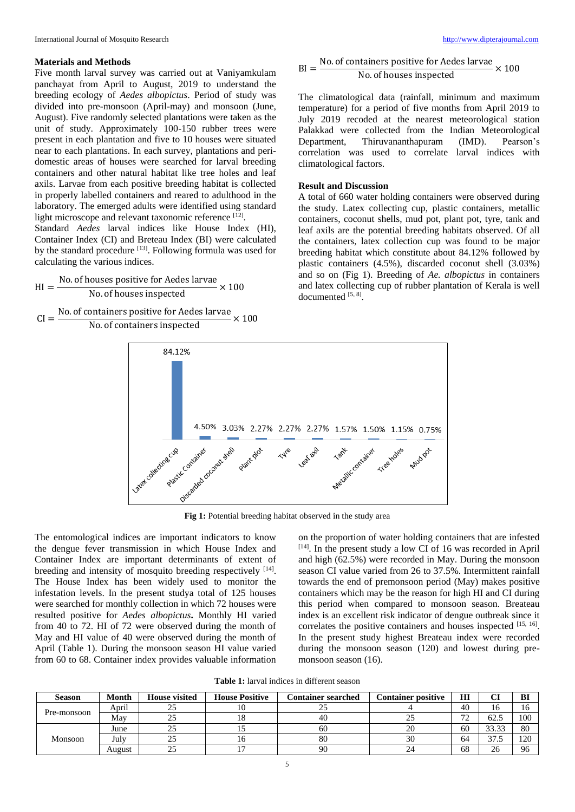#### **Materials and Methods**

Five month larval survey was carried out at Vaniyamkulam panchayat from April to August, 2019 to understand the breeding ecology of *Aedes albopictus*. Period of study was divided into pre-monsoon (April-may) and monsoon (June, August). Five randomly selected plantations were taken as the unit of study. Approximately 100-150 rubber trees were present in each plantation and five to 10 houses were situated near to each plantations. In each survey, plantations and peridomestic areas of houses were searched for larval breeding containers and other natural habitat like tree holes and leaf axils. Larvae from each positive breeding habitat is collected in properly labelled containers and reared to adulthood in the laboratory. The emerged adults were identified using standard light microscope and relevant taxonomic reference [12].

Standard *Aedes* larval indices like House Index (HI), Container Index (CI) and Breteau Index (BI) were calculated by the standard procedure <sup>[13]</sup>. Following formula was used for calculating the various indices.

$$
HI = \frac{No. of houses positive for Aedes larvae}{No. of houses inspected} \times 100
$$

$$
CI = \frac{\text{No. of containers positive for Aedes larvae}}{\text{No. of containers inspected}} \times 100
$$

 $BI = \frac{No. of containers positive for Aedes larvae}{No. of houses inspected} \times 100$ 

No. of houses inspected 
$$
\sim
$$
 1

The climatological data (rainfall, minimum and maximum temperature) for a period of five months from April 2019 to July 2019 recoded at the nearest meteorological station Palakkad were collected from the Indian Meteorological Department, Thiruvananthapuram (IMD). Pearson's correlation was used to correlate larval indices with climatological factors.

## **Result and Discussion**

A total of 660 water holding containers were observed during the study. Latex collecting cup, plastic containers, metallic containers, coconut shells, mud pot, plant pot, tyre, tank and leaf axils are the potential breeding habitats observed. Of all the containers, latex collection cup was found to be major breeding habitat which constitute about 84.12% followed by plastic containers (4.5%), discarded coconut shell (3.03%) and so on (Fig 1). Breeding of *Ae. albopictus* in containers and latex collecting cup of rubber plantation of Kerala is well documented [5, 8].



**Fig 1:** Potential breeding habitat observed in the study area

The entomological indices are important indicators to know the dengue fever transmission in which House Index and Container Index are important determinants of extent of breeding and intensity of mosquito breeding respectively [14]. The House Index has been widely used to monitor the infestation levels. In the present studya total of 125 houses were searched for monthly collection in which 72 houses were resulted positive for *Aedes albopictus***.** Monthly HI varied from 40 to 72. HI of 72 were observed during the month of May and HI value of 40 were observed during the month of April (Table 1). During the monsoon season HI value varied from 60 to 68. Container index provides valuable information on the proportion of water holding containers that are infested [14]. In the present study a low CI of 16 was recorded in April and high (62.5%) were recorded in May. During the monsoon season CI value varied from 26 to 37.5%. Intermittent rainfall towards the end of premonsoon period (May) makes positive containers which may be the reason for high HI and CI during this period when compared to monsoon season. Breateau index is an excellent risk indicator of dengue outbreak since it correlates the positive containers and houses inspected [15, 16]. In the present study highest Breateau index were recorded during the monsoon season (120) and lowest during premonsoon season (16).

**Table 1:** larval indices in different season

| <b>Season</b> | Month  | <b>House visited</b> | <b>House Positive</b> | <b>Container searched</b> | <b>Container positive</b> | HI        | u            | BI  |
|---------------|--------|----------------------|-----------------------|---------------------------|---------------------------|-----------|--------------|-----|
| Pre-monsoon   | April  | 25                   |                       | ت                         |                           | 40        | 16           | 16  |
|               | Mav    | 25                   | 10                    | 40                        | رے                        | 70<br>ے ا | 62.5         | 100 |
| Monsoon       | June   | 25                   |                       | 60                        | 20                        | 60        | 33.33        | 80  |
|               | July   | 25                   | 10                    | 80                        | 30                        | 64        | 37<br>ر. ، ر | 120 |
|               | August | 25                   |                       | 90                        |                           | 68        | 26           | 96  |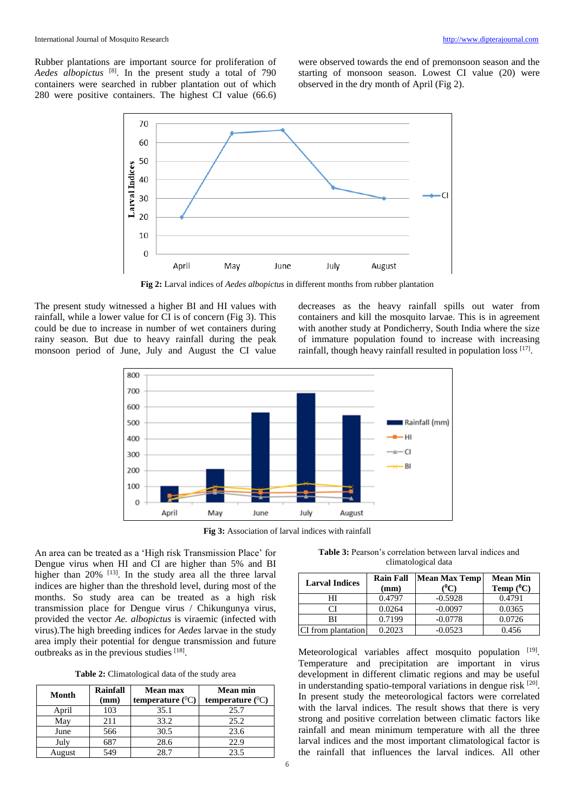Rubber plantations are important source for proliferation of *Aedes albopictus* [8] . In the present study a total of 790 containers were searched in rubber plantation out of which 280 were positive containers. The highest CI value (66.6)

were observed towards the end of premonsoon season and the starting of monsoon season. Lowest CI value (20) were observed in the dry month of April (Fig 2).



**Fig 2:** Larval indices of *Aedes albopictus* in different months from rubber plantation

The present study witnessed a higher BI and HI values with rainfall, while a lower value for CI is of concern (Fig 3). This could be due to increase in number of wet containers during rainy season. But due to heavy rainfall during the peak monsoon period of June, July and August the CI value

decreases as the heavy rainfall spills out water from containers and kill the mosquito larvae. This is in agreement with another study at Pondicherry, South India where the size of immature population found to increase with increasing rainfall, though heavy rainfall resulted in population loss [17].



**Fig 3:** Association of larval indices with rainfall

An area can be treated as a 'High risk Transmission Place' for Dengue virus when HI and CI are higher than 5% and BI higher than  $20\%$  <sup>[13]</sup>. In the study area all the three larval indices are higher than the threshold level, during most of the months. So study area can be treated as a high risk transmission place for Dengue virus / Chikungunya virus, provided the vector *Ae. albopictus* is viraemic (infected with virus).The high breeding indices for *Aedes* larvae in the study area imply their potential for dengue transmission and future outbreaks as in the previous studies [18].

**Table 2:** Climatological data of the study area

| Month  | Rainfall<br>(mm) | <b>Mean max</b><br>temperature $(^{0}C)$ | <b>Mean min</b><br>temperature $(^{0}C)$ |
|--------|------------------|------------------------------------------|------------------------------------------|
| April  | 103              | 35.1                                     | 25.7                                     |
| May    | 211              | 33.2                                     | 25.2                                     |
| June   | 566              | 30.5                                     | 23.6                                     |
| July   | 687              | 28.6                                     | 22.9                                     |
| August | 549              | 28.7                                     | 23.5                                     |

**Table 3:** Pearson's correlation between larval indices and climatological data

| <b>Larval Indices</b> | <b>Rain Fall</b><br>(mm) | <b>Mean Max Temp</b> | <b>Mean Min</b><br>Temp $(^0C)$ |  |
|-----------------------|--------------------------|----------------------|---------------------------------|--|
| HΙ                    | 0.4797                   | $-0.5928$            | 0.4791                          |  |
| ΓI                    | 0.0264                   | $-0.0097$            | 0.0365                          |  |
| ВI                    | 0.7199                   | $-0.0778$            | 0.0726                          |  |
| CI from plantation    | 0.2023                   | $-0.0523$            | 0.456                           |  |

Meteorological variables affect mosquito population [19]. Temperature and precipitation are important in virus development in different climatic regions and may be useful in understanding spatio-temporal variations in dengue risk [20]. In present study the meteorological factors were correlated with the larval indices. The result shows that there is very strong and positive correlation between climatic factors like rainfall and mean minimum temperature with all the three larval indices and the most important climatological factor is the rainfall that influences the larval indices. All other